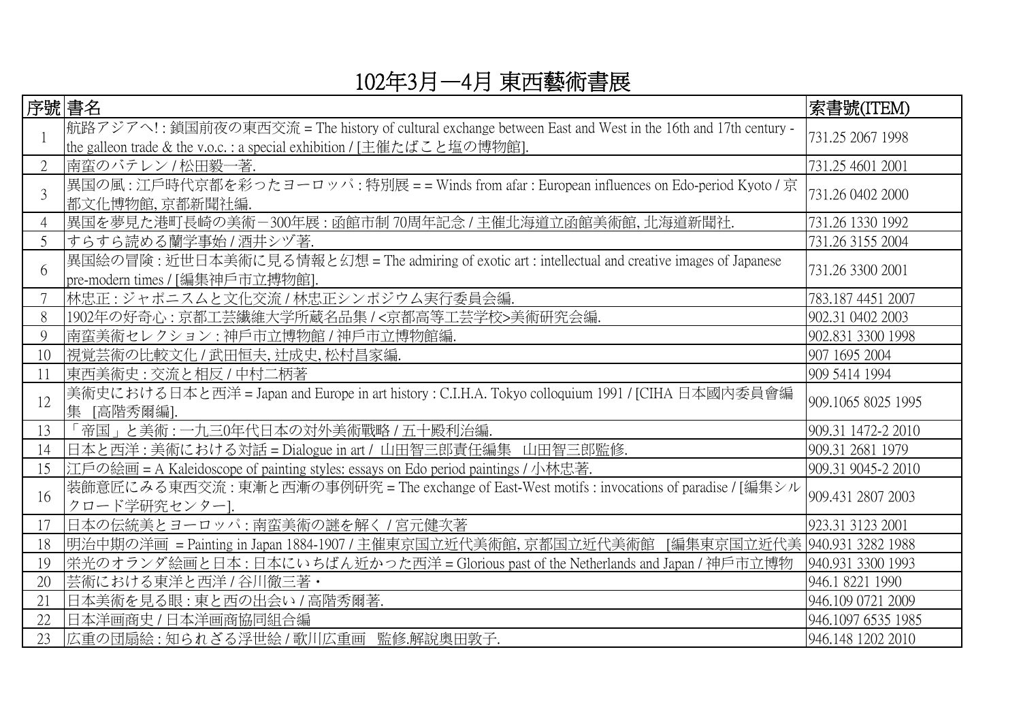## 102年3月—4月 東西藝術書展

| 序號 書名 |                                                                                                                                                                                       | 索書號(ITEM)          |
|-------|---------------------------------------------------------------------------------------------------------------------------------------------------------------------------------------|--------------------|
|       | 航路アジアへ! : 鎖国前夜の東西交流 = The history of cultural exchange between East and West in the 16th and 17th century -<br>the galleon trade & the v.o.c. : a special exhibition / [主催たばこと塩の博物館]. | 731.25 2067 1998   |
|       | 南蛮のバテレン / 松田毅一著.                                                                                                                                                                      | 731.25 4601 2001   |
| 3     | 異国の風: 江戶時代京都を彩ったヨーロッパ: 特別展 = = Winds from afar: European influences on Edo-period Kyoto / 京<br>都文化博物館,京都新聞社編                                                                          | 731.26 0402 2000   |
|       | 異国を夢見た港町長崎の美術-300年展:函館市制70周年記念 / 主催北海道立函館美術館, 北海道新聞社.                                                                                                                                 | 731.26 1330 1992   |
| 5     | すらすら読める蘭学事始 / 酒井シヅ著.                                                                                                                                                                  | 731.26 3155 2004   |
| 6     | 異国絵の冒険 : 近世日本美術に見る情報と幻想 = The admiring of exotic art : intellectual and creative images of Japanese<br>pre-modern times / [編集神戶市立搏物館].                                                | 731.26 3300 2001   |
|       | 林忠正: ジャポニスムと文化交流 / 林忠正シンポジウム実行委員会編.                                                                                                                                                   | 783.187 4451 2007  |
| 8     | 1902年の好奇心: 京都工芸繊維大学所蔵名品集 / <京都高等工芸学校>美術研究会編.                                                                                                                                          | 902.31 0402 2003   |
| 9     | 南蛮美術セレクション:神戶市立博物館/神戶市立博物館編.                                                                                                                                                          | 902.831 3300 1998  |
| 10    | 視覚芸術の比較文化 / 武田恒夫, 辻成史, 松村昌家編.                                                                                                                                                         | 907 1695 2004      |
| 11    | 東西美術史: 交流と相反 / 中村二柄著                                                                                                                                                                  | 909 5414 1994      |
| 12    | 美術史における日本と西洋 = Japan and Europe in art history : C.I.H.A. Tokyo colloquium 1991 / [CIHA 日本國內委員會編<br>[高階秀爾編].<br>集                                                                     | 909.1065 8025 1995 |
| 13    | 「帝国」と美術 : 一九三0年代日本の対外美術戰略 / 五十殿利治編.                                                                                                                                                   | 909.31 1472-2 2010 |
| 14    | 日本と西洋: 美術における対話 = Dialogue in art / 山田智三郎責任編集 山田智三郎監修.                                                                                                                                | 909.31 2681 1979   |
| 15    | 江戶の絵画 = A Kaleidoscope of painting styles: essays on Edo period paintings / 小林忠著.                                                                                                     | 909.31 9045-2 2010 |
| 16    | 装飾意匠にみる東西交流: 東漸と西漸の事例研究 = The exchange of East-West motifs : invocations of paradise / [編集シル<br>クロード学研究センター].                                                                         | 909.431 2807 2003  |
| 17    | 日本の伝統美とヨーロッパ:南蛮美術の謎を解く/宮元健次著                                                                                                                                                          | 923.31 3123 2001   |
| 18    | 明治中期の洋画 = Painting in Japan 1884-1907 / 主催東京国立近代美術館, 京都国立近代美術館 [編集東京国立近代美 940.931 3282 1988                                                                                           |                    |
| 19    | 栄光のオランダ絵画と日本 : 日本にいちばん近かった西洋 = Glorious past of the Netherlands and Japan / 神戶市立博物                                                                                                    | 940.931 3300 1993  |
| 20    | 芸術における東洋と西洋 / 谷川徹三著・                                                                                                                                                                  | 946.1 8221 1990    |
| 21    | 日本美術を見る眼: 東と西の出会い / 高階秀爾著.                                                                                                                                                            | 946.109 0721 2009  |
| 22    | 日本洋画商史 / 日本洋画商協同組合編                                                                                                                                                                   | 946.1097 6535 1985 |
| 23    | 広重の団扇絵 : 知られざる浮世絵 / 歌川広重画 監修.解説奥田敦子.                                                                                                                                                  | 946.148 1202 2010  |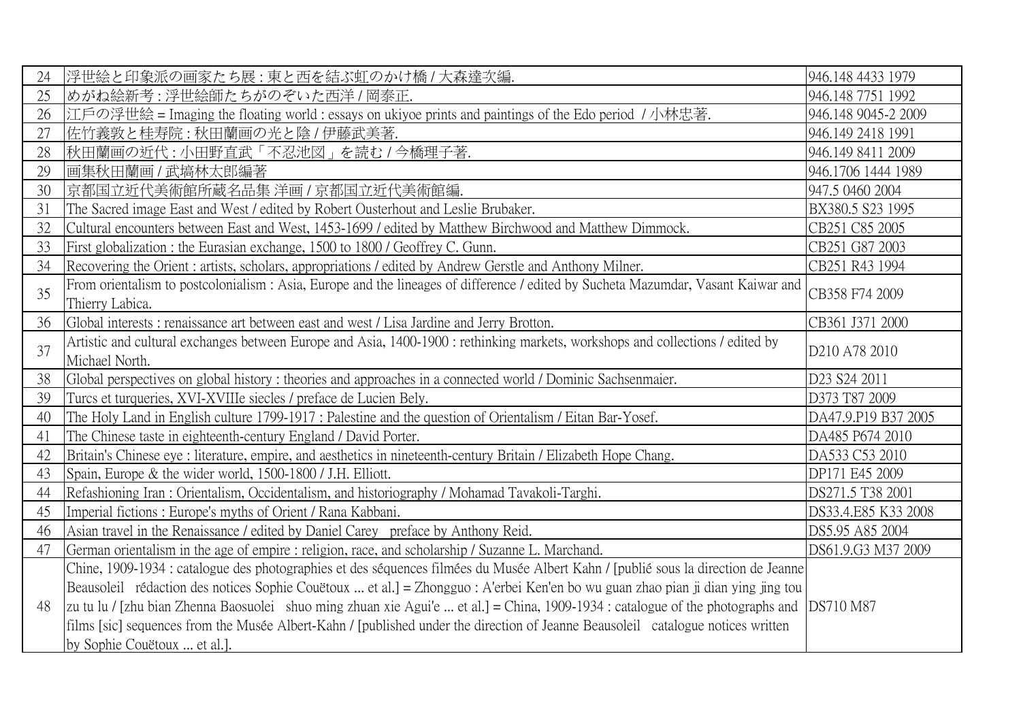| 24 | 浮世絵と印象派の画家たち展:東と西を結ぶ虹のかけ橋 / 大森達次編.                                                                                                        | 946.148 4433 1979                     |
|----|-------------------------------------------------------------------------------------------------------------------------------------------|---------------------------------------|
| 25 | めがね絵新考:浮世絵師たちがのぞいた西洋/岡泰正.                                                                                                                 | 946.148 7751 1992                     |
| 26 | 江戶の浮世絵 = Imaging the floating world : essays on ukiyoe prints and paintings of the Edo period / 小林忠著.                                     | 946.148 9045-2 2009                   |
| 27 | 佐竹義敦と桂寿院:秋田蘭画の光と陰 / 伊藤武美著.                                                                                                                | 946.149 2418 1991                     |
| 28 | 秋田蘭画の近代 : 小田野直武「不忍池図」を読む / 今橋理子著.                                                                                                         | 946.149 8411 2009                     |
| 29 | 画集秋田蘭画 / 武塙林太郎編著                                                                                                                          | 946.1706 1444 1989                    |
| 30 | 京都国立近代美術館所蔵名品集 洋画 / 京都国立近代美術館編.                                                                                                           | 947.5 0460 2004                       |
| 31 | The Sacred image East and West / edited by Robert Ousterhout and Leslie Brubaker.                                                         | BX380.5 S23 1995                      |
| 32 | Cultural encounters between East and West, 1453-1699 / edited by Matthew Birchwood and Matthew Dimmock.                                   | CB251 C85 2005                        |
| 33 | First globalization: the Eurasian exchange, 1500 to 1800 / Geoffrey C. Gunn.                                                              | CB251 G87 2003                        |
| 34 | Recovering the Orient: artists, scholars, appropriations / edited by Andrew Gerstle and Anthony Milner.                                   | CB251 R43 1994                        |
| 35 | From orientalism to postcolonialism: Asia, Europe and the lineages of difference / edited by Sucheta Mazumdar, Vasant Kaiwar and          | CB358 F74 2009                        |
|    | Thierry Labica.                                                                                                                           |                                       |
| 36 | Global interests: renaissance art between east and west / Lisa Jardine and Jerry Brotton.                                                 | CB361 J371 2000                       |
| 37 | Artistic and cultural exchanges between Europe and Asia, 1400-1900 : rethinking markets, workshops and collections / edited by            | D <sub>210</sub> A <sub>78</sub> 2010 |
|    | Michael North.                                                                                                                            |                                       |
| 38 | Global perspectives on global history: theories and approaches in a connected world / Dominic Sachsenmaier.                               | D23 S24 2011                          |
| 39 | Turcs et turqueries, XVI-XVIIIe siecles / preface de Lucien Bely.                                                                         | D373 T87 2009                         |
| 40 | The Holy Land in English culture 1799-1917 : Palestine and the question of Orientalism / Eitan Bar-Yosef.                                 | DA47.9.P19 B37 2005                   |
| 41 | The Chinese taste in eighteenth-century England / David Porter.                                                                           | DA485 P674 2010                       |
| 42 | Britain's Chinese eye : literature, empire, and aesthetics in nineteenth-century Britain / Elizabeth Hope Chang.                          | DA533 C53 2010                        |
| 43 | Spain, Europe & the wider world, 1500-1800 / J.H. Elliott.                                                                                | DP171 E45 2009                        |
| 44 | Refashioning Iran : Orientalism, Occidentalism, and historiography / Mohamad Tavakoli-Targhi.                                             | DS271.5 T38 2001                      |
| 45 | Imperial fictions: Europe's myths of Orient / Rana Kabbani.                                                                               | DS33.4.E85 K33 2008                   |
| 46 | Asian travel in the Renaissance / edited by Daniel Carey preface by Anthony Reid.                                                         | DS5.95 A85 2004                       |
| 47 | German orientalism in the age of empire: religion, race, and scholarship / Suzanne L. Marchand.                                           | DS61.9.G3 M37 2009                    |
|    | Chine, 1909-1934 : catalogue des photographies et des séquences filmées du Musée Albert Kahn / [publié sous la direction de Jeanne        |                                       |
| 48 | Beausoleil rédaction des notices Sophie Couëtoux  et al.] = Zhongguo : A'erbei Ken'en bo wu guan zhao pian ji dian ying jing tou          |                                       |
|    | zu tu lu / [zhu bian Zhenna Baosuolei shuo ming zhuan xie Agui'e  et al.] = China, 1909-1934 : catalogue of the photographs and DS710 M87 |                                       |
|    | films [sic] sequences from the Musée Albert-Kahn / [published under the direction of Jeanne Beausoleil catalogue notices written          |                                       |
|    | by Sophie Couëtoux  et al.].                                                                                                              |                                       |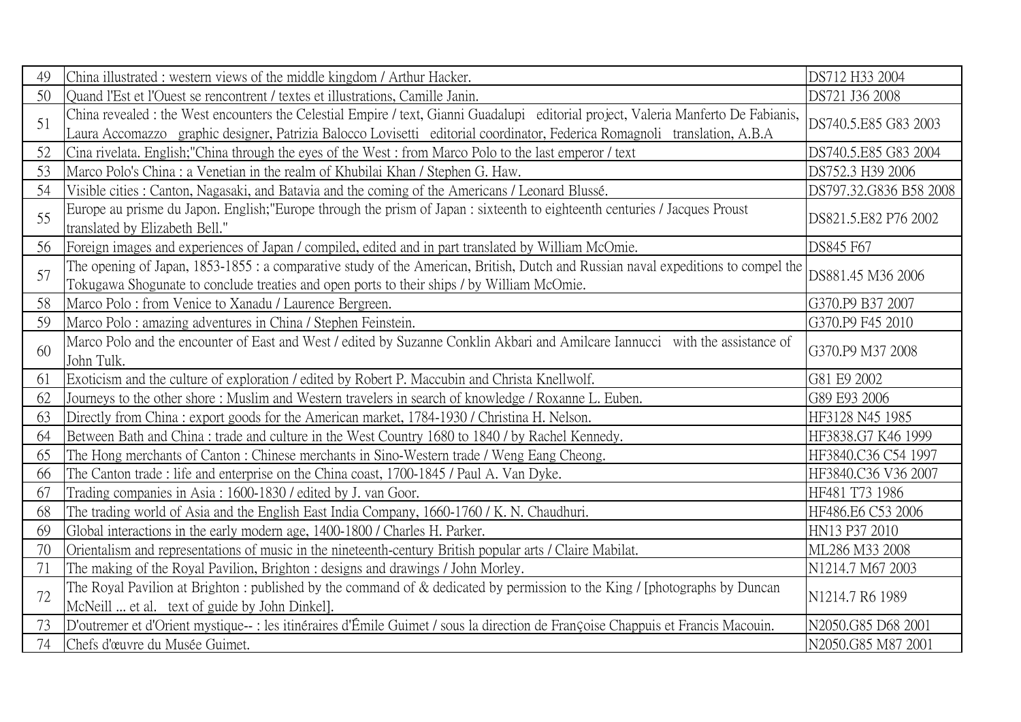| 49 | China illustrated: western views of the middle kingdom / Arthur Hacker.                                                                                                                                                                                          | DS712 H33 2004         |
|----|------------------------------------------------------------------------------------------------------------------------------------------------------------------------------------------------------------------------------------------------------------------|------------------------|
| 50 | Quand l'Est et l'Ouest se rencontrent / textes et illustrations, Camille Janin.                                                                                                                                                                                  | DS721 J36 2008         |
| 51 | China revealed : the West encounters the Celestial Empire / text, Gianni Guadalupi editorial project, Valeria Manferto De Fabianis,<br>Laura Accomazzo graphic designer, Patrizia Balocco Lovisetti editorial coordinator, Federica Romagnoli translation, A.B.A | DS740.5.E85 G83 2003   |
| 52 | Cina rivelata. English; "China through the eyes of the West: from Marco Polo to the last emperor / text                                                                                                                                                          | DS740.5.E85 G83 2004   |
| 53 | Marco Polo's China : a Venetian in the realm of Khubilai Khan / Stephen G. Haw.                                                                                                                                                                                  | DS752.3 H39 2006       |
| 54 | Visible cities : Canton, Nagasaki, and Batavia and the coming of the Americans / Leonard Blussé.                                                                                                                                                                 | DS797.32.G836 B58 2008 |
| 55 | Europe au prisme du Japon. English; "Europe through the prism of Japan : sixteenth to eighteenth centuries / Jacques Proust<br>translated by Elizabeth Bell."                                                                                                    | DS821.5.E82 P76 2002   |
| 56 | Foreign images and experiences of Japan / compiled, edited and in part translated by William McOmie.                                                                                                                                                             | DS845 F67              |
| 57 | The opening of Japan, 1853-1855 : a comparative study of the American, British, Dutch and Russian naval expeditions to compel the<br>Tokugawa Shogunate to conclude treaties and open ports to their ships / by William McOmie.                                  | DS881.45 M36 2006      |
| 58 | Marco Polo: from Venice to Xanadu / Laurence Bergreen.                                                                                                                                                                                                           | G370.P9 B37 2007       |
| 59 | Marco Polo: amazing adventures in China / Stephen Feinstein.                                                                                                                                                                                                     | G370.P9 F45 2010       |
| 60 | Marco Polo and the encounter of East and West / edited by Suzanne Conklin Akbari and Amilcare Iannucci with the assistance of<br>John Tulk.                                                                                                                      | G370.P9 M37 2008       |
| 61 | Exoticism and the culture of exploration / edited by Robert P. Maccubin and Christa Knellwolf.                                                                                                                                                                   | G81 E9 2002            |
| 62 | Journeys to the other shore: Muslim and Western travelers in search of knowledge / Roxanne L. Euben.                                                                                                                                                             | G89 E93 2006           |
| 63 | Directly from China: export goods for the American market, 1784-1930 / Christina H. Nelson.                                                                                                                                                                      | HF3128 N45 1985        |
| 64 | Between Bath and China: trade and culture in the West Country 1680 to 1840 / by Rachel Kennedy.                                                                                                                                                                  | HF3838.G7 K46 1999     |
| 65 | The Hong merchants of Canton: Chinese merchants in Sino-Western trade / Weng Eang Cheong.                                                                                                                                                                        | HF3840.C36 C54 1997    |
| 66 | The Canton trade: life and enterprise on the China coast, 1700-1845 / Paul A. Van Dyke.                                                                                                                                                                          | HF3840.C36 V36 2007    |
| 67 | Trading companies in Asia: 1600-1830 / edited by J. van Goor.                                                                                                                                                                                                    | HF481 T73 1986         |
| 68 | The trading world of Asia and the English East India Company, 1660-1760 / K. N. Chaudhuri.                                                                                                                                                                       | HF486.E6 C53 2006      |
| 69 | Global interactions in the early modern age, 1400-1800 / Charles H. Parker.                                                                                                                                                                                      | HN13 P37 2010          |
| 70 | Orientalism and representations of music in the nineteenth-century British popular arts / Claire Mabilat.                                                                                                                                                        | ML286 M33 2008         |
| 71 | The making of the Royal Pavilion, Brighton : designs and drawings / John Morley.                                                                                                                                                                                 | N1214.7 M67 2003       |
| 72 | The Royal Pavilion at Brighton: published by the command of & dedicated by permission to the King / [photographs by Duncan<br>McNeill  et al. text of guide by John Dinkel].                                                                                     | N1214.7 R6 1989        |
| 73 | D'outremer et d'Orient mystique-- : les itinéraires d'Émile Guimet / sous la direction de Françoise Chappuis et Francis Macouin.                                                                                                                                 | N2050.G85 D68 2001     |
| 74 | Chefs d'œuvre du Musée Guimet.                                                                                                                                                                                                                                   | N2050.G85 M87 2001     |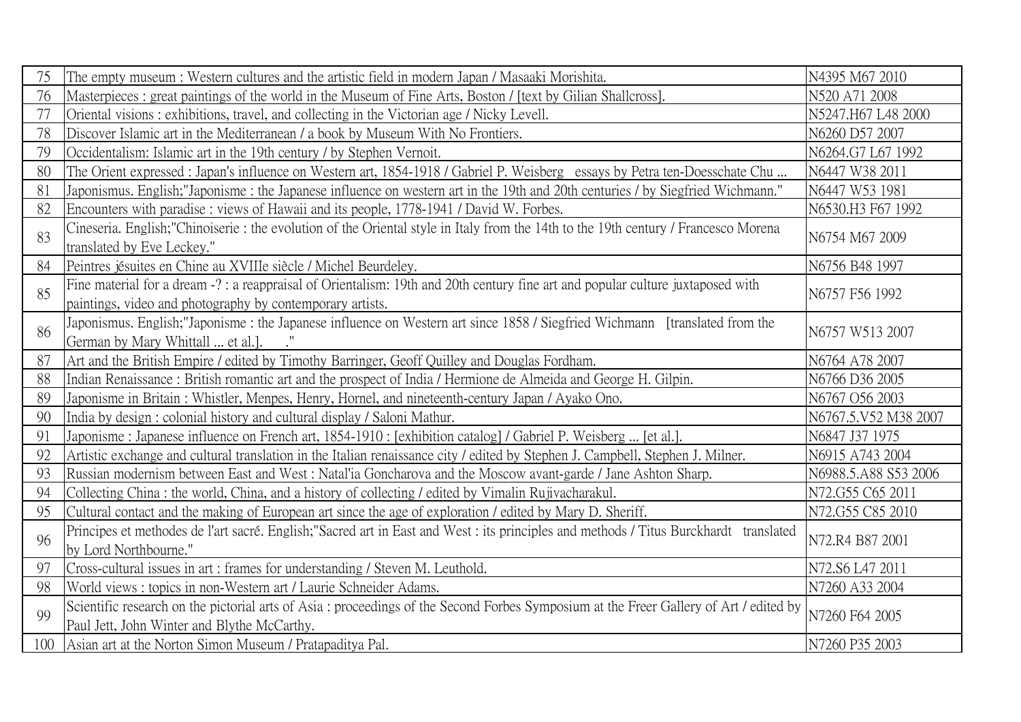| 75  | The empty museum: Western cultures and the artistic field in modern Japan / Masaaki Morishita.                                                                                              | N4395 M67 2010       |
|-----|---------------------------------------------------------------------------------------------------------------------------------------------------------------------------------------------|----------------------|
| 76  | Masterpieces: great paintings of the world in the Museum of Fine Arts, Boston / [text by Gilian Shallcross].                                                                                | N520 A71 2008        |
| 77  | Oriental visions: exhibitions, travel, and collecting in the Victorian age / Nicky Levell.                                                                                                  | N5247.H67 L48 2000   |
| 78  | Discover Islamic art in the Mediterranean / a book by Museum With No Frontiers.                                                                                                             | N6260 D57 2007       |
| 79  | Occidentalism: Islamic art in the 19th century / by Stephen Vernoit.                                                                                                                        | N6264.G7 L67 1992    |
| 80  | The Orient expressed : Japan's influence on Western art, 1854-1918 / Gabriel P. Weisberg essays by Petra ten-Doesschate Chu                                                                 | N6447 W38 2011       |
| 81  | Japonismus. English;"Japonisme: the Japanese influence on western art in the 19th and 20th centuries / by Siegfried Wichmann."                                                              | N6447 W53 1981       |
| 82  | Encounters with paradise: views of Hawaii and its people, 1778-1941 / David W. Forbes.                                                                                                      | N6530.H3 F67 1992    |
| 83  | Cineseria. English; "Chinoiserie: the evolution of the Oriental style in Italy from the 14th to the 19th century / Francesco Morena<br>translated by Eve Leckey."                           | N6754 M67 2009       |
| 84  | Peintres jésuites en Chine au XVIIIe siècle / Michel Beurdeley.                                                                                                                             | N6756 B48 1997       |
| 85  | Fine material for a dream -?: a reappraisal of Orientalism: 19th and 20th century fine art and popular culture juxtaposed with<br>paintings, video and photography by contemporary artists. | N6757 F56 1992       |
| 86  | Japonismus. English; "Japonisme: the Japanese influence on Western art since 1858 / Siegfried Wichmann [translated from the<br>German by Mary Whittall  et al.]. .                          | N6757 W513 2007      |
| 87  | Art and the British Empire / edited by Timothy Barringer, Geoff Quilley and Douglas Fordham.                                                                                                | N6764 A78 2007       |
| 88  | Indian Renaissance: British romantic art and the prospect of India / Hermione de Almeida and George H. Gilpin.                                                                              | N6766 D36 2005       |
| 89  | Japonisme in Britain: Whistler, Menpes, Henry, Hornel, and nineteenth-century Japan / Ayako Ono.                                                                                            | N6767 O56 2003       |
| 90  | India by design : colonial history and cultural display / Saloni Mathur.                                                                                                                    | N6767.5.V52 M38 2007 |
| 91  | Japonisme : Japanese influence on French art, 1854-1910 : [exhibition catalog] / Gabriel P. Weisberg  [et al.].                                                                             | N6847 J37 1975       |
| 92  | Artistic exchange and cultural translation in the Italian renaissance city / edited by Stephen J. Campbell, Stephen J. Milner.                                                              | N6915 A743 2004      |
| 93  | Russian modernism between East and West: Natal'ia Goncharova and the Moscow avant-garde / Jane Ashton Sharp.                                                                                | N6988.5.A88 S53 2006 |
| 94  | Collecting China: the world, China, and a history of collecting / edited by Vimalin Rujivacharakul.                                                                                         | N72.G55 C65 2011     |
| 95  | Cultural contact and the making of European art since the age of exploration / edited by Mary D. Sheriff.                                                                                   | N72.G55 C85 2010     |
| 96  | Principes et methodes de l'art sacré. English; "Sacred art in East and West : its principles and methods / Titus Burckhardt translated<br>by Lord Northbourne."                             | N72.R4 B87 2001      |
| 97  | Cross-cultural issues in art : frames for understanding / Steven M. Leuthold.                                                                                                               | N72.S6 L47 2011      |
| 98  | World views: topics in non-Western art / Laurie Schneider Adams.                                                                                                                            | N7260 A33 2004       |
| 99  | Scientific research on the pictorial arts of Asia : proceedings of the Second Forbes Symposium at the Freer Gallery of Art / edited by<br>Paul Jett, John Winter and Blythe McCarthy.       | N7260 F64 2005       |
| 100 | Asian art at the Norton Simon Museum / Pratapaditya Pal.                                                                                                                                    | N7260 P35 2003       |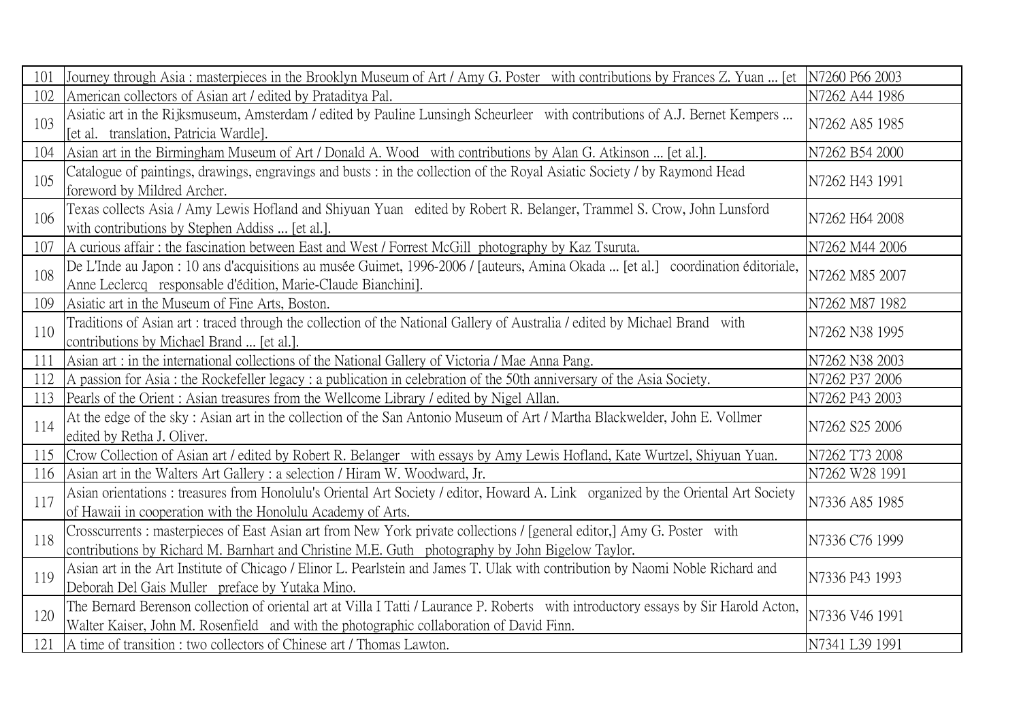| 101 | Journey through Asia: masterpieces in the Brooklyn Museum of Art / Amy G. Poster with contributions by Frances Z. Yuan  [et  N7260 P66 2003                                                                                      |                |
|-----|----------------------------------------------------------------------------------------------------------------------------------------------------------------------------------------------------------------------------------|----------------|
| 102 | American collectors of Asian art / edited by Prataditya Pal.                                                                                                                                                                     | N7262 A44 1986 |
| 103 | Asiatic art in the Rijksmuseum, Amsterdam / edited by Pauline Lunsingh Scheurleer with contributions of A.J. Bernet Kempers<br>[et al. translation, Patricia Wardle].                                                            | N7262 A85 1985 |
| 104 | Asian art in the Birmingham Museum of Art / Donald A. Wood with contributions by Alan G. Atkinson  [et al.].                                                                                                                     | N7262 B54 2000 |
| 105 | Catalogue of paintings, drawings, engravings and busts : in the collection of the Royal Asiatic Society / by Raymond Head<br>foreword by Mildred Archer.                                                                         | N7262 H43 1991 |
| 106 | Texas collects Asia / Amy Lewis Hofland and Shiyuan Yuan edited by Robert R. Belanger, Trammel S. Crow, John Lunsford<br>with contributions by Stephen Addiss  [et al.].                                                         | N7262 H64 2008 |
| 107 | A curious affair: the fascination between East and West / Forrest McGill photography by Kaz Tsuruta.                                                                                                                             | N7262 M44 2006 |
| 108 | De L'Inde au Japon : 10 ans d'acquisitions au musée Guimet, 1996-2006 / [auteurs, Amina Okada  [et al.] coordination éditoriale,<br>Anne Leclercq responsable d'édition, Marie-Claude Bianchini].                                | N7262 M85 2007 |
| 109 | Asiatic art in the Museum of Fine Arts, Boston.                                                                                                                                                                                  | N7262 M87 1982 |
| 110 | Traditions of Asian art: traced through the collection of the National Gallery of Australia / edited by Michael Brand with<br>contributions by Michael Brand  [et al.].                                                          | N7262 N38 1995 |
| 111 | Asian art : in the international collections of the National Gallery of Victoria / Mae Anna Pang.                                                                                                                                | N7262 N38 2003 |
| 112 | A passion for Asia: the Rockefeller legacy: a publication in celebration of the 50th anniversary of the Asia Society.                                                                                                            | N7262 P37 2006 |
| 113 | Pearls of the Orient: Asian treasures from the Wellcome Library / edited by Nigel Allan.                                                                                                                                         | N7262 P43 2003 |
| 114 | At the edge of the sky: Asian art in the collection of the San Antonio Museum of Art / Martha Blackwelder, John E. Vollmer<br>edited by Retha J. Oliver.                                                                         | N7262 S25 2006 |
| 115 | Crow Collection of Asian art / edited by Robert R. Belanger with essays by Amy Lewis Hofland, Kate Wurtzel, Shiyuan Yuan.                                                                                                        | N7262 T73 2008 |
| 116 | Asian art in the Walters Art Gallery : a selection / Hiram W. Woodward, Jr.                                                                                                                                                      | N7262 W28 1991 |
| 117 | Asian orientations: treasures from Honolulu's Oriental Art Society / editor, Howard A. Link organized by the Oriental Art Society<br>of Hawaii in cooperation with the Honolulu Academy of Arts.                                 | N7336 A85 1985 |
| 118 | Crosscurrents: masterpieces of East Asian art from New York private collections / [general editor,] Amy G. Poster with<br>contributions by Richard M. Barnhart and Christine M.E. Guth photography by John Bigelow Taylor.       | N7336 C76 1999 |
| 119 | Asian art in the Art Institute of Chicago / Elinor L. Pearlstein and James T. Ulak with contribution by Naomi Noble Richard and<br>Deborah Del Gais Muller preface by Yutaka Mino.                                               | N7336 P43 1993 |
| 120 | The Bernard Berenson collection of oriental art at Villa I Tatti / Laurance P. Roberts with introductory essays by Sir Harold Acton,<br>Walter Kaiser, John M. Rosenfield and with the photographic collaboration of David Finn. | N7336 V46 1991 |
| 121 | A time of transition : two collectors of Chinese art / Thomas Lawton.                                                                                                                                                            | N7341 L39 1991 |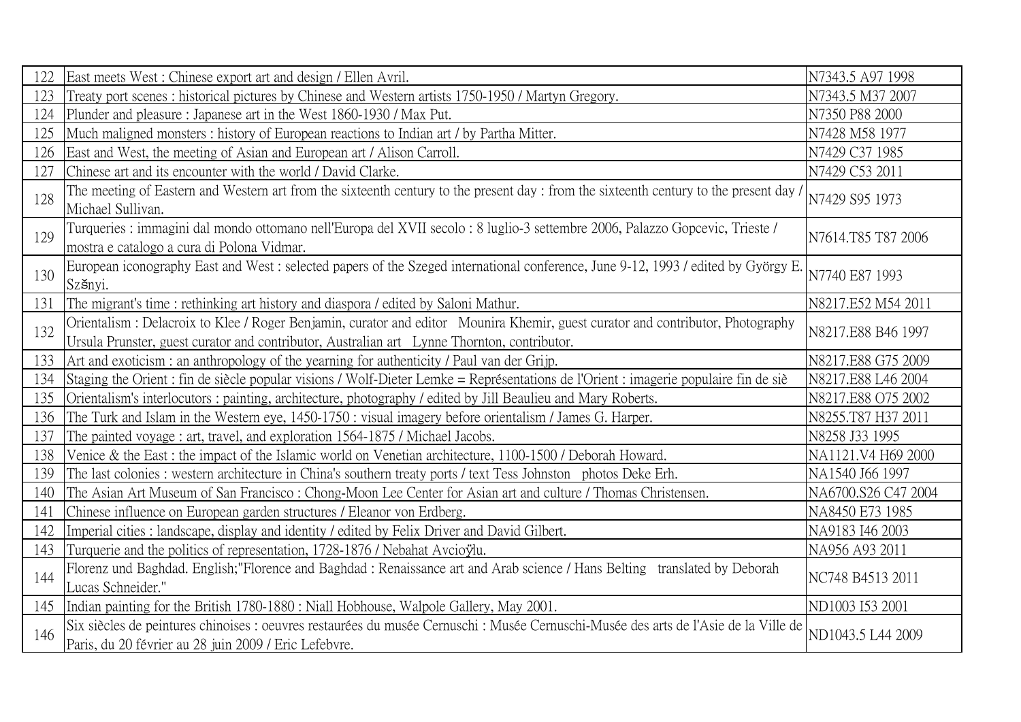| 122 | East meets West: Chinese export art and design / Ellen Avril.                                                                                                                                                                  | N7343.5 A97 1998    |
|-----|--------------------------------------------------------------------------------------------------------------------------------------------------------------------------------------------------------------------------------|---------------------|
| 123 | Treaty port scenes: historical pictures by Chinese and Western artists 1750-1950 / Martyn Gregory.                                                                                                                             | N7343.5 M37 2007    |
| 124 | Plunder and pleasure: Japanese art in the West 1860-1930 / Max Put.                                                                                                                                                            | N7350 P88 2000      |
| 125 | Much maligned monsters: history of European reactions to Indian art / by Partha Mitter.                                                                                                                                        | N7428 M58 1977      |
| 126 | East and West, the meeting of Asian and European art / Alison Carroll.                                                                                                                                                         | N7429 C37 1985      |
| 127 | Chinese art and its encounter with the world / David Clarke.                                                                                                                                                                   | N7429 C53 2011      |
| 128 | The meeting of Eastern and Western art from the sixteenth century to the present day: from the sixteenth century to the present day /<br>Michael Sullivan.                                                                     | N7429 S95 1973      |
| 129 | Turqueries : immagini dal mondo ottomano nell'Europa del XVII secolo : 8 luglio-3 settembre 2006, Palazzo Gopcevic, Trieste /<br>mostra e catalogo a cura di Polona Vidmar.                                                    | N7614.T85 T87 2006  |
| 130 | European iconography East and West: selected papers of the Szeged international conference, June 9-12, 1993 / edited by György E.<br>Szšnyi.                                                                                   | N7740 E87 1993      |
| 131 | The migrant's time: rethinking art history and diaspora / edited by Saloni Mathur.                                                                                                                                             | N8217.E52 M54 2011  |
| 132 | Orientalism : Delacroix to Klee / Roger Benjamin, curator and editor Mounira Khemir, guest curator and contributor, Photography<br>Ursula Prunster, guest curator and contributor, Australian art Lynne Thornton, contributor. | N8217.E88 B46 1997  |
| 133 | Art and exoticism: an anthropology of the yearning for authenticity / Paul van der Grijp.                                                                                                                                      | N8217.E88 G75 2009  |
| 134 | Staging the Orient: fin de siècle popular visions / Wolf-Dieter Lemke = Représentations de l'Orient: imagerie populaire fin de siè                                                                                             | N8217.E88 L46 2004  |
| 135 | Orientalism's interlocutors: painting, architecture, photography / edited by Jill Beaulieu and Mary Roberts.                                                                                                                   | N8217.E88 O75 2002  |
| 136 | The Turk and Islam in the Western eye, 1450-1750 : visual imagery before orientalism / James G. Harper.                                                                                                                        | N8255.T87 H37 2011  |
| 137 | The painted voyage: art, travel, and exploration 1564-1875 / Michael Jacobs.                                                                                                                                                   | N8258 J33 1995      |
| 138 | Venice & the East : the impact of the Islamic world on Venetian architecture, 1100-1500 / Deborah Howard.                                                                                                                      | NA1121.V4 H69 2000  |
| 139 | The last colonies : western architecture in China's southern treaty ports / text Tess Johnston photos Deke Erh.                                                                                                                | NA1540 J66 1997     |
| 140 | The Asian Art Museum of San Francisco: Chong-Moon Lee Center for Asian art and culture / Thomas Christensen.                                                                                                                   | NA6700.S26 C47 2004 |
| 141 | Chinese influence on European garden structures / Eleanor von Erdberg.                                                                                                                                                         | NA8450 E73 1985     |
| 142 | Imperial cities: landscape, display and identity / edited by Felix Driver and David Gilbert.                                                                                                                                   | NA9183 I46 2003     |
| 143 | Turquerie and the politics of representation, 1728-1876 / Nebahat Avcioyiu.                                                                                                                                                    | NA956 A93 2011      |
| 144 | Florenz und Baghdad. English; "Florence and Baghdad: Renaissance art and Arab science / Hans Belting translated by Deborah<br>Lucas Schneider."                                                                                | NC748 B4513 2011    |
| 145 | Indian painting for the British 1780-1880 : Niall Hobhouse, Walpole Gallery, May 2001.                                                                                                                                         | ND1003 I53 2001     |
| 146 | Six siècles de peintures chinoises : oeuvres restaurées du musée Cernuschi : Musée Cernuschi-Musée des arts de l'Asie de la Ville de<br>Paris, du 20 février au 28 juin 2009 / Eric Lefebvre.                                  | ND1043.5 L44 2009   |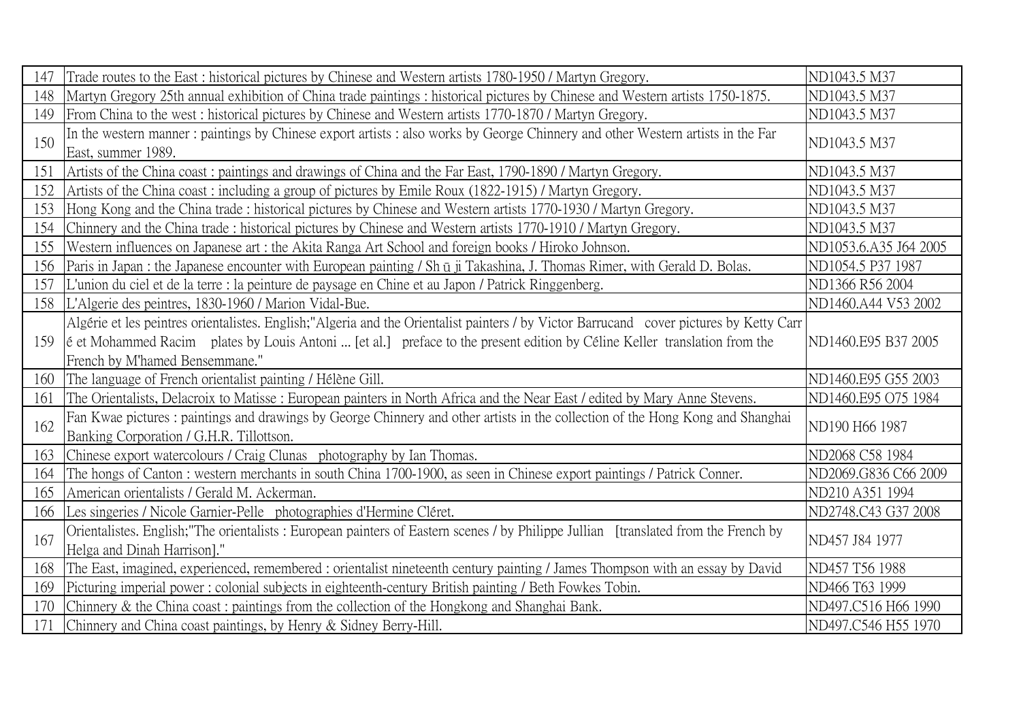| 147 | Trade routes to the East : historical pictures by Chinese and Western artists 1780-1950 / Martyn Gregory.                                                                                                                                                                                               | ND1043.5 M37          |
|-----|---------------------------------------------------------------------------------------------------------------------------------------------------------------------------------------------------------------------------------------------------------------------------------------------------------|-----------------------|
| 148 | Martyn Gregory 25th annual exhibition of China trade paintings: historical pictures by Chinese and Western artists 1750-1875.                                                                                                                                                                           | ND1043.5 M37          |
| 149 | From China to the west: historical pictures by Chinese and Western artists 1770-1870 / Martyn Gregory.                                                                                                                                                                                                  | ND1043.5 M37          |
| 150 | In the western manner: paintings by Chinese export artists: also works by George Chinnery and other Western artists in the Far<br>East, summer 1989.                                                                                                                                                    | ND1043.5 M37          |
| 151 | Artists of the China coast: paintings and drawings of China and the Far East, 1790-1890 / Martyn Gregory.                                                                                                                                                                                               | ND1043.5 M37          |
| 152 | Artists of the China coast: including a group of pictures by Emile Roux (1822-1915) / Martyn Gregory.                                                                                                                                                                                                   | ND1043.5 M37          |
| 153 | Hong Kong and the China trade: historical pictures by Chinese and Western artists 1770-1930 / Martyn Gregory.                                                                                                                                                                                           | ND1043.5 M37          |
| 154 | Chinnery and the China trade: historical pictures by Chinese and Western artists 1770-1910 / Martyn Gregory.                                                                                                                                                                                            | ND1043.5 M37          |
| 155 | Western influences on Japanese art : the Akita Ranga Art School and foreign books / Hiroko Johnson.                                                                                                                                                                                                     | ND1053.6.A35 J64 2005 |
| 156 | Paris in Japan : the Japanese encounter with European painting / Sh ū ji Takashina, J. Thomas Rimer, with Gerald D. Bolas.                                                                                                                                                                              | ND1054.5 P37 1987     |
| 157 | L'union du ciel et de la terre : la peinture de paysage en Chine et au Japon / Patrick Ringgenberg.                                                                                                                                                                                                     | ND1366 R56 2004       |
|     | 158 L'Algerie des peintres, 1830-1960 / Marion Vidal-Bue.                                                                                                                                                                                                                                               | ND1460.A44 V53 2002   |
| 159 | Algérie et les peintres orientalistes. English; "Algeria and the Orientalist painters / by Victor Barrucand cover pictures by Ketty Carr<br>e et Mohammed Racim plates by Louis Antoni  [et al.] preface to the present edition by Céline Keller translation from the<br>French by M'hamed Bensemmane." | ND1460.E95 B37 2005   |
| 160 | The language of French orientalist painting / Hélène Gill.                                                                                                                                                                                                                                              | ND1460.E95 G55 2003   |
| 161 | The Orientalists, Delacroix to Matisse: European painters in North Africa and the Near East / edited by Mary Anne Stevens.                                                                                                                                                                              | ND1460.E95 O75 1984   |
| 162 | Fan Kwae pictures: paintings and drawings by George Chinnery and other artists in the collection of the Hong Kong and Shanghai<br>Banking Corporation / G.H.R. Tillottson.                                                                                                                              | ND190 H66 1987        |
| 163 | Chinese export watercolours / Craig Clunas photography by Ian Thomas.                                                                                                                                                                                                                                   | ND2068 C58 1984       |
| 164 | The hongs of Canton: western merchants in south China 1700-1900, as seen in Chinese export paintings / Patrick Conner.                                                                                                                                                                                  | ND2069.G836 C66 2009  |
| 165 | American orientalists / Gerald M. Ackerman.                                                                                                                                                                                                                                                             | ND210 A351 1994       |
| 166 | Les singeries / Nicole Garnier-Pelle photographies d'Hermine Cléret.                                                                                                                                                                                                                                    | ND2748.C43 G37 2008   |
| 167 | Orientalistes. English; "The orientalists: European painters of Eastern scenes / by Philippe Jullian [translated from the French by<br>Helga and Dinah Harrison]."                                                                                                                                      | ND457 J84 1977        |
| 168 | The East, imagined, experienced, remembered: orientalist nineteenth century painting / James Thompson with an essay by David                                                                                                                                                                            | ND457 T56 1988        |
| 169 | Picturing imperial power: colonial subjects in eighteenth-century British painting / Beth Fowkes Tobin.                                                                                                                                                                                                 | ND466 T63 1999        |
| 170 | Chinnery & the China coast: paintings from the collection of the Hongkong and Shanghai Bank.                                                                                                                                                                                                            | ND497.C516 H66 1990   |
| 171 | Chinnery and China coast paintings, by Henry & Sidney Berry-Hill.                                                                                                                                                                                                                                       | ND497.C546 H55 1970   |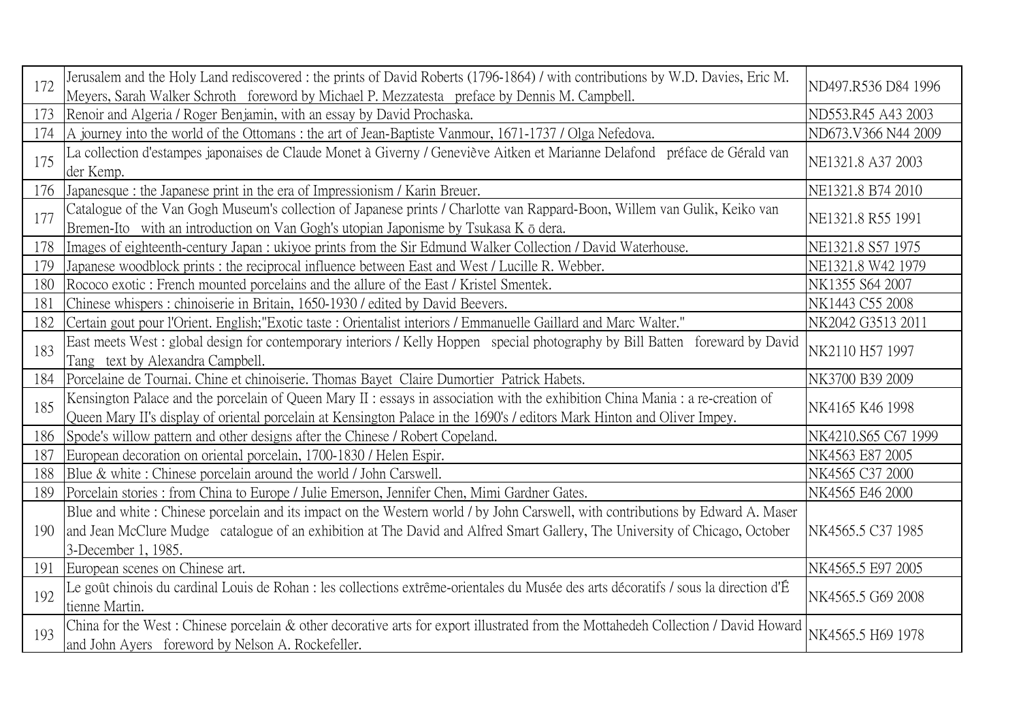| 172 | Jerusalem and the Holy Land rediscovered: the prints of David Roberts (1796-1864) / with contributions by W.D. Davies, Eric M.<br>Meyers, Sarah Walker Schroth foreword by Michael P. Mezzatesta preface by Dennis M. Campbell.                                                       | ND497.R536 D84 1996 |
|-----|---------------------------------------------------------------------------------------------------------------------------------------------------------------------------------------------------------------------------------------------------------------------------------------|---------------------|
| 173 | Renoir and Algeria / Roger Benjamin, with an essay by David Prochaska.                                                                                                                                                                                                                | ND553.R45 A43 2003  |
| 174 | A journey into the world of the Ottomans: the art of Jean-Baptiste Vanmour, 1671-1737 / Olga Nefedova.                                                                                                                                                                                | ND673.V366 N44 2009 |
| 175 | La collection d'estampes japonaises de Claude Monet à Giverny / Geneviève Aitken et Marianne Delafond préface de Gérald van<br>der Kemp.                                                                                                                                              | NE1321.8 A37 2003   |
| 176 | Japanesque : the Japanese print in the era of Impressionism / Karin Breuer.                                                                                                                                                                                                           | NE1321.8 B74 2010   |
| 177 | Catalogue of the Van Gogh Museum's collection of Japanese prints / Charlotte van Rappard-Boon, Willem van Gulik, Keiko van<br>Bremen-Ito with an introduction on Van Gogh's utopian Japonisme by Tsukasa K ō dera.                                                                    | NE1321.8 R55 1991   |
| 178 | Images of eighteenth-century Japan : ukiyoe prints from the Sir Edmund Walker Collection / David Waterhouse.                                                                                                                                                                          | NE1321.8 S57 1975   |
| 179 | Japanese woodblock prints: the reciprocal influence between East and West / Lucille R. Webber.                                                                                                                                                                                        | NE1321.8 W42 1979   |
| 180 | Rococo exotic: French mounted porcelains and the allure of the East / Kristel Smentek.                                                                                                                                                                                                | NK1355 S64 2007     |
| 181 | Chinese whispers: chinoiserie in Britain, 1650-1930 / edited by David Beevers.                                                                                                                                                                                                        | NK1443 C55 2008     |
| 182 | Certain gout pour l'Orient. English; "Exotic taste : Orientalist interiors / Emmanuelle Gaillard and Marc Walter."                                                                                                                                                                    | NK2042 G3513 2011   |
| 183 | East meets West : global design for contemporary interiors / Kelly Hoppen special photography by Bill Batten foreward by David<br>Tang text by Alexandra Campbell.                                                                                                                    | NK2110 H57 1997     |
| 184 | Porcelaine de Tournai. Chine et chinoiserie. Thomas Bayet Claire Dumortier Patrick Habets.                                                                                                                                                                                            | NK3700 B39 2009     |
| 185 | Kensington Palace and the porcelain of Queen Mary II: essays in association with the exhibition China Mania: a re-creation of<br>Queen Mary II's display of oriental porcelain at Kensington Palace in the 1690's / editors Mark Hinton and Oliver Impey.                             | NK4165 K46 1998     |
| 186 | Spode's willow pattern and other designs after the Chinese / Robert Copeland.                                                                                                                                                                                                         | NK4210.S65 C67 1999 |
| 187 | European decoration on oriental porcelain, 1700-1830 / Helen Espir.                                                                                                                                                                                                                   | NK4563 E87 2005     |
| 188 | Blue & white: Chinese porcelain around the world / John Carswell.                                                                                                                                                                                                                     | NK4565 C37 2000     |
| 189 | Porcelain stories: from China to Europe / Julie Emerson, Jennifer Chen, Mimi Gardner Gates.                                                                                                                                                                                           | NK4565 E46 2000     |
| 190 | Blue and white: Chinese porcelain and its impact on the Western world / by John Carswell, with contributions by Edward A. Maser<br>and Jean McClure Mudge catalogue of an exhibition at The David and Alfred Smart Gallery, The University of Chicago, October<br>3-December 1, 1985. | NK4565.5 C37 1985   |
| 191 | European scenes on Chinese art.                                                                                                                                                                                                                                                       | NK4565.5 E97 2005   |
| 192 | Le goût chinois du cardinal Louis de Rohan : les collections extrême-orientales du Musée des arts décoratifs / sous la direction d'É<br>tienne Martin.                                                                                                                                | NK4565.5 G69 2008   |
| 193 | China for the West: Chinese porcelain & other decorative arts for export illustrated from the Mottahedeh Collection / David Howard<br>and John Ayers foreword by Nelson A. Rockefeller.                                                                                               | NK4565.5 H69 1978   |